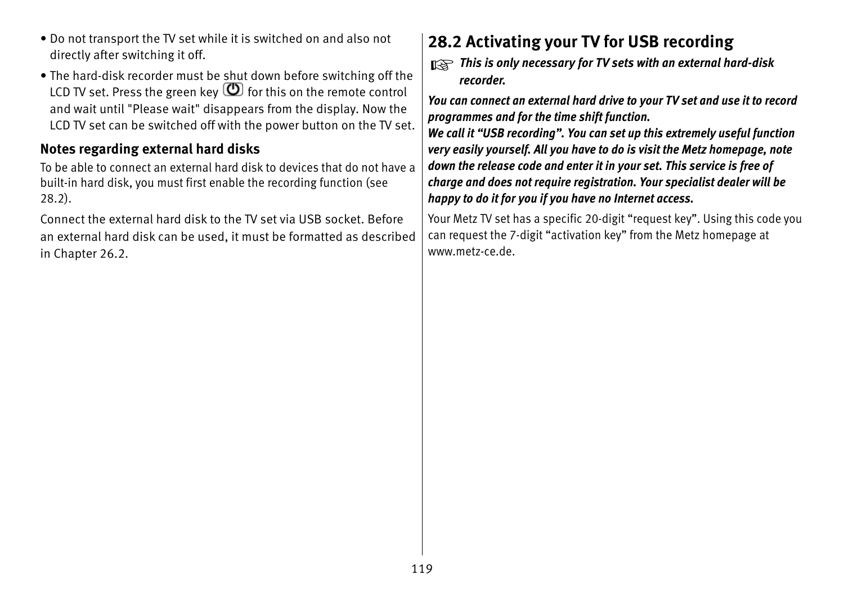## **28.2 Activating your TV for USB recording**

*This is only necessary for TV sets with an external hard-disk* +*recorder.*

*You can connect an external hard drive to your TV set and use it to record programmes and for the time shift function.*

*We call it "USB recording". You can set up this extremely useful function very easily yourself. All you have to do is visit the Metz homepage, note down the release code and enter it in your set. This service is free of charge and does not require registration. Your specialist dealer will be happy to do it for you if you have no Internet access.*

Your Metz TV set has a specific 20-digit "request key". Using this code you can request the 7-digit "activation key" from the Metz homepage at www.metz-ce.de.